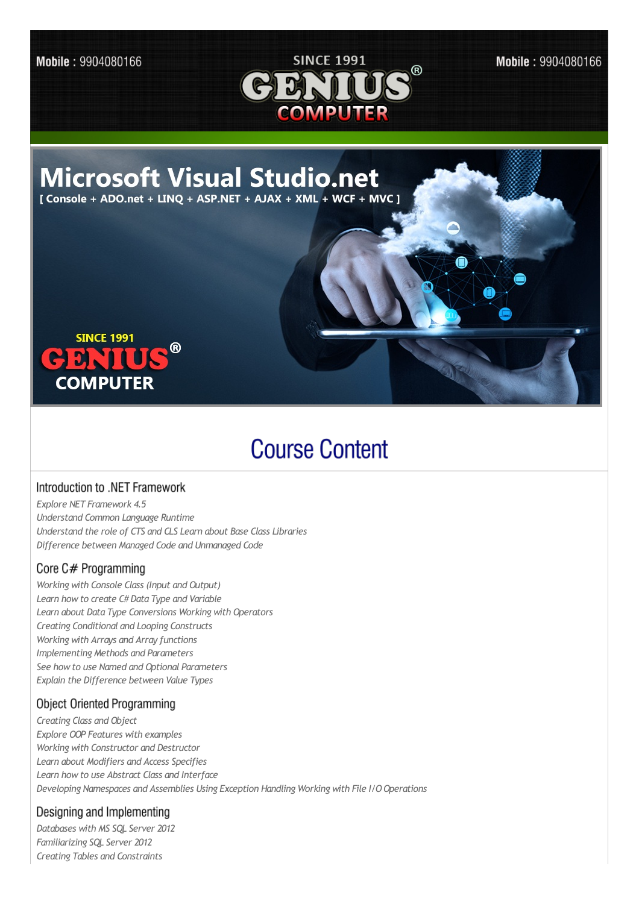Mobile: 9904080166



Mobile: 9904080166



# **Course Content**

#### Introduction to .NET Framework

*Explore NET Framework 4.5 Understand Common Language Runtime Understand the role of CTS and CLS Learn about Base Class Libraries Difference between Managed Code and Unmanaged Code*

## Core C# Programming

*Working with Console Class (Input and Output) Learn howto create C# Data Type and Variable Learn about Data Type Conversions Working with Operators Creating Conditional and Looping Constructs Working with Arrays and Array functions Implementing Methods and Parameters See howto use Named and Optional Parameters Explain the Difference between Value Types*

## **Object Oriented Programming**

*Creating Class and Object Explore OOP Features with examples Working with Constructor and Destructor Learn about Modifiers and Access Specifies Learn howto use Abstract Class and Interface Developing Namespaces and Assemblies Using Exception Handling Working with File I/O Operations*

#### Designing and Implementing

*Databases with MS SQL Server 2012 Familiarizing SQL Server 2012 Creating Tables and Constraints*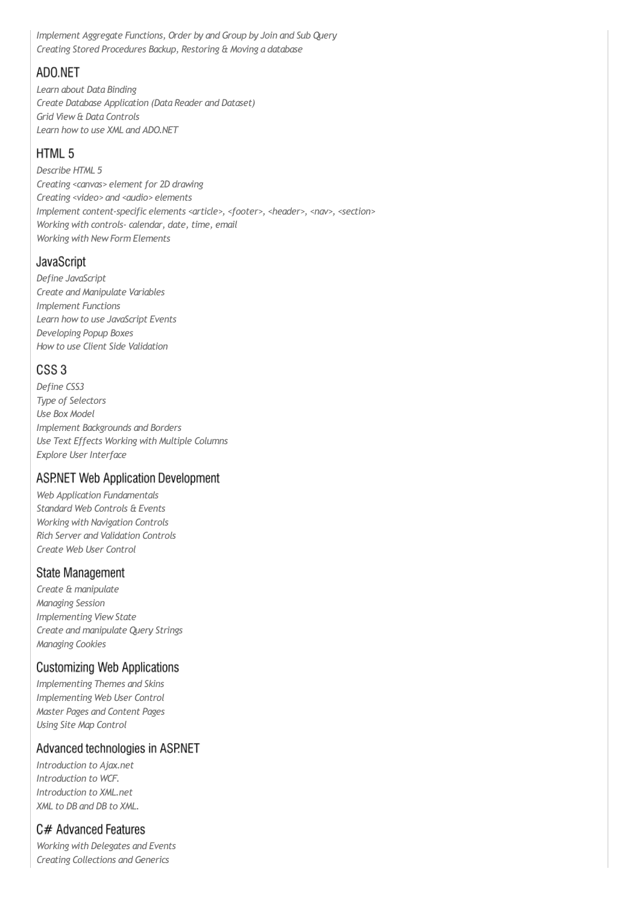*Implement Aggregate Functions, Order by and Group by Join and Sub Query Creating Stored Procedures Backup, Restoring & Moving a database*

## ADO.NET

*Learn about Data Binding Create Database Application (Data Reader and Dataset) Grid View& Data Controls Learn howto use XML and ADO.NET*

## HTML 5

*Describe HTML 5 Creating <canvas> element for 2D drawing Creating <video> and <audio> elements Implement content-specific elements <article>, <footer>, <header>, <nav>, <section> Working with controls-calendar, date, time, email Working with NewForm Elements*

### JavaScript

*Define JavaScript Create and Manipulate Variables Implement Functions Learn howto use JavaScript Events Developing Popup Boxes Howto use Client Side Validation*

## CSS<sub>3</sub>

*Define CSS3 Type of Selectors Use Box Model Implement Backgrounds and Borders Use Text Effects Working with Multiple Columns Explore User Interface*

## **ASP.NET Web Application Development**

*Web Application Fundamentals Standard Web Controls & Events Working with Navigation Controls Rich Server and Validation Controls Create Web User Control*

#### **State Management**

*Create & manipulate Managing Session Implementing ViewState Create and manipulate Query Strings Managing Cookies*

## **Customizing Web Applications**

*Implementing Themes and Skins Implementing Web User Control Master Pages and Content Pages Using Site Map Control*

#### Advanced technologies in ASP.NET

*Introduction to Ajax.net Introduction to WCF. Introduction to XML.net XML to DB and DB to XML.*

## C# Advanced Features

*Working with Delegates and Events Creating Collections and Generics*